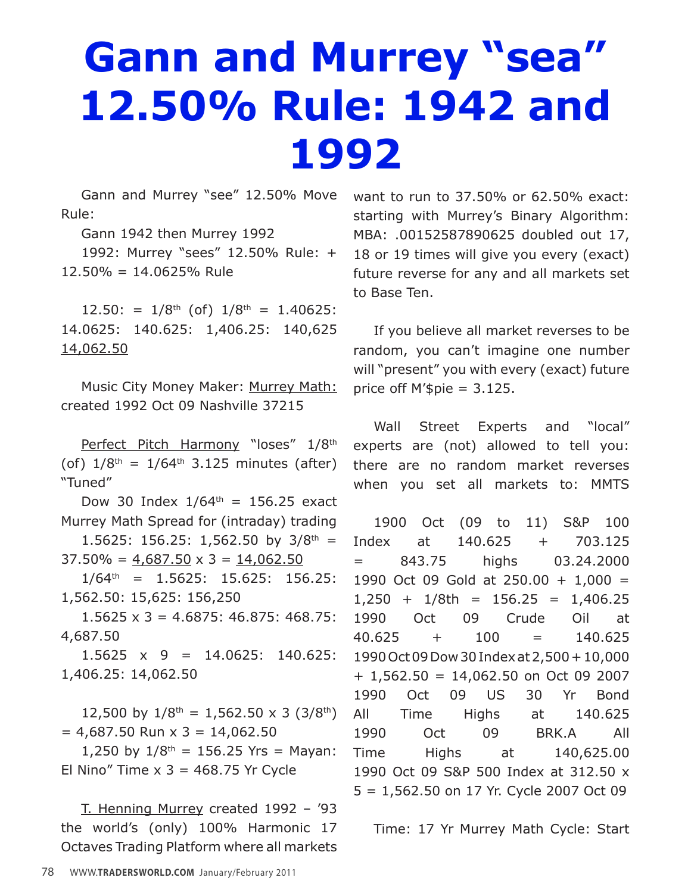## **Gann and Murrey "sea" 12.50% Rule: 1942 and 1992**

Gann and Murrey "see" 12.50% Move Rule:

Gann 1942 then Murrey 1992

1992: Murrey "sees" 12.50% Rule: + 12.50% = 14.0625% Rule

 $12.50$ : =  $1/8$ <sup>th</sup> (of)  $1/8$ <sup>th</sup> = 1.40625: 14.0625: 140.625: 1,406.25: 140,625 14,062.50

Music City Money Maker: Murrey Math: created 1992 Oct 09 Nashville 37215

Perfect Pitch Harmony "loses" 1/8<sup>th</sup> (of)  $1/8^{th} = 1/64^{th}$  3.125 minutes (after) "Tuned"

Dow 30 Index  $1/64^{th} = 156.25$  exact Murrey Math Spread for (intraday) trading 1.5625: 156.25: 1,562.50 by  $3/8^{th}$  =

 $37.50\% = 4,687.50 \times 3 = 14,062.50$ 

 $1/64$ <sup>th</sup> = 1.5625: 15.625: 156.25: 1,562.50: 15,625: 156,250

 $1.5625 \times 3 = 4.6875$ ; 46.875; 468.75; 4,687.50

 $1.5625 \times 9 = 14.0625$ : 140.625: 1,406.25: 14,062.50

12,500 by  $1/8^{th} = 1,562.50 \times 3 (3/8^{th})$  $= 4,687.50$  Run  $\times$  3 = 14,062.50

1,250 by  $1/8^{th} = 156.25$  Yrs = Mayan: El Nino" Time  $x$  3 = 468.75 Yr Cycle

T. Henning Murrey created 1992 – '93 the world's (only) 100% Harmonic 17 Octaves Trading Platform where all markets want to run to  $37.50\%$  or  $62.50\%$  exact: starting with Murrey's Binary Algorithm: MBA: .00152587890625 doubled out 17, 18 or 19 times will give you every (exact) future reverse for any and all markets set to Base Ten.

If you believe all market reverses to be random, you can't imagine one number will "present" you with every (exact) future price off  $M$ '\$pie = 3.125.

Wall Street Experts and "local" experts are (not) allowed to tell you: there are no random market reverses when you set all markets to: MMTS

1900 Oct (09 to 11) S&P 100 Index at 140.625 + 703.125 = 843.75 highs 03.24.2000 1990 Oct 09 Gold at 250.00 + 1,000 =  $1,250 + 1/8$ th = 156.25 = 1,406.25 1990 Oct 09 Crude Oil at 40.625 + 100 = 140.625 1990 Oct 09 Dow 30 Index at 2,500 + 10,000 + 1,562.50 = 14,062.50 on Oct 09 2007 1990 Oct 09 US 30 Yr Bond All Time Highs at 140.625 1990 Oct 09 BRK.A All Time Highs at 140,625.00 1990 Oct 09 S&P 500 Index at 312.50 x 5 = 1,562.50 on 17 Yr. Cycle 2007 Oct 09

Time: 17 Yr Murrey Math Cycle: Start